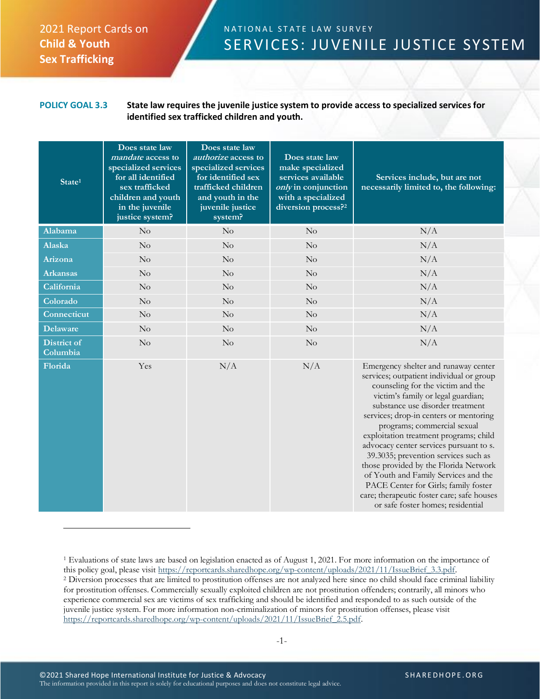## 2021 Report Cards on **Child & Youth Sex Trafficking**

## N A T I O N A L S T A T E L A W S U R V E Y SERVICES: JUVENILE JUSTICE SYSTEM

## **POLICY GOAL 3.3 State law requires the juvenile justice system to provide access to specialized services for identified sex trafficked children and youth.**

| State <sup>1</sup>             | Does state law<br><i>mandate</i> access to<br>specialized services<br>for all identified<br>sex trafficked<br>children and youth<br>in the juvenile<br>justice system? | Does state law<br><i>authorize</i> access to<br>specialized services<br>for identified sex<br>trafficked children<br>and youth in the<br>juvenile justice<br>system? | Does state law<br>make specialized<br>services available<br>only in conjunction<br>with a specialized<br>diversion process? <sup>2</sup> | Services include, but are not<br>necessarily limited to, the following:                                                                                                                                                                                                                                                                                                                                                                                                                                                                                                                                           |
|--------------------------------|------------------------------------------------------------------------------------------------------------------------------------------------------------------------|----------------------------------------------------------------------------------------------------------------------------------------------------------------------|------------------------------------------------------------------------------------------------------------------------------------------|-------------------------------------------------------------------------------------------------------------------------------------------------------------------------------------------------------------------------------------------------------------------------------------------------------------------------------------------------------------------------------------------------------------------------------------------------------------------------------------------------------------------------------------------------------------------------------------------------------------------|
| <b>Alabama</b>                 | No                                                                                                                                                                     | No                                                                                                                                                                   | No                                                                                                                                       | N/A                                                                                                                                                                                                                                                                                                                                                                                                                                                                                                                                                                                                               |
| Alaska                         | No                                                                                                                                                                     | No                                                                                                                                                                   | No                                                                                                                                       | N/A                                                                                                                                                                                                                                                                                                                                                                                                                                                                                                                                                                                                               |
| Arizona                        | No                                                                                                                                                                     | No                                                                                                                                                                   | No                                                                                                                                       | N/A                                                                                                                                                                                                                                                                                                                                                                                                                                                                                                                                                                                                               |
| <b>Arkansas</b>                | No                                                                                                                                                                     | No                                                                                                                                                                   | No                                                                                                                                       | N/A                                                                                                                                                                                                                                                                                                                                                                                                                                                                                                                                                                                                               |
| California                     | No                                                                                                                                                                     | No                                                                                                                                                                   | No                                                                                                                                       | N/A                                                                                                                                                                                                                                                                                                                                                                                                                                                                                                                                                                                                               |
| Colorado                       | No                                                                                                                                                                     | No                                                                                                                                                                   | No                                                                                                                                       | N/A                                                                                                                                                                                                                                                                                                                                                                                                                                                                                                                                                                                                               |
| Connecticut                    | $\rm No$                                                                                                                                                               | No                                                                                                                                                                   | $\rm No$                                                                                                                                 | N/A                                                                                                                                                                                                                                                                                                                                                                                                                                                                                                                                                                                                               |
| <b>Delaware</b>                | No                                                                                                                                                                     | No                                                                                                                                                                   | No                                                                                                                                       | N/A                                                                                                                                                                                                                                                                                                                                                                                                                                                                                                                                                                                                               |
| <b>District of</b><br>Columbia | No                                                                                                                                                                     | $\rm No$                                                                                                                                                             | No                                                                                                                                       | N/A                                                                                                                                                                                                                                                                                                                                                                                                                                                                                                                                                                                                               |
| Florida                        | Yes                                                                                                                                                                    | N/A                                                                                                                                                                  | N/A                                                                                                                                      | Emergency shelter and runaway center<br>services; outpatient individual or group<br>counseling for the victim and the<br>victim's family or legal guardian;<br>substance use disorder treatment<br>services; drop-in centers or mentoring<br>programs; commercial sexual<br>exploitation treatment programs; child<br>advocacy center services pursuant to s.<br>39.3035; prevention services such as<br>those provided by the Florida Network<br>of Youth and Family Services and the<br>PACE Center for Girls; family foster<br>care; therapeutic foster care; safe houses<br>or safe foster homes; residential |

<sup>1</sup> Evaluations of state laws are based on legislation enacted as of August 1, 2021. For more information on the importance of this policy goal, please visit [https://reportcards.sharedhope.org/wp-content/uploads/2021/11/IssueBrief\\_3.3.pdf.](https://reportcards.sharedhope.org/wp-content/uploads/2021/11/IssueBrief_3.3.pdf) <sup>2</sup> Diversion processes that are limited to prostitution offenses are not analyzed here since no child should face criminal liability for prostitution offenses. Commercially sexually exploited children are not prostitution offenders; contrarily, all minors who experience commercial sex are victims of sex trafficking and should be identified and responded to as such outside of the juvenile justice system. For more information non-criminalization of minors for prostitution offenses, please visit [https://reportcards.sharedhope.org/wp-content/uploads/2021/11/IssueBrief\\_2.5.pdf.](https://reportcards.sharedhope.org/wp-content/uploads/2021/11/IssueBrief_2.5.pdf)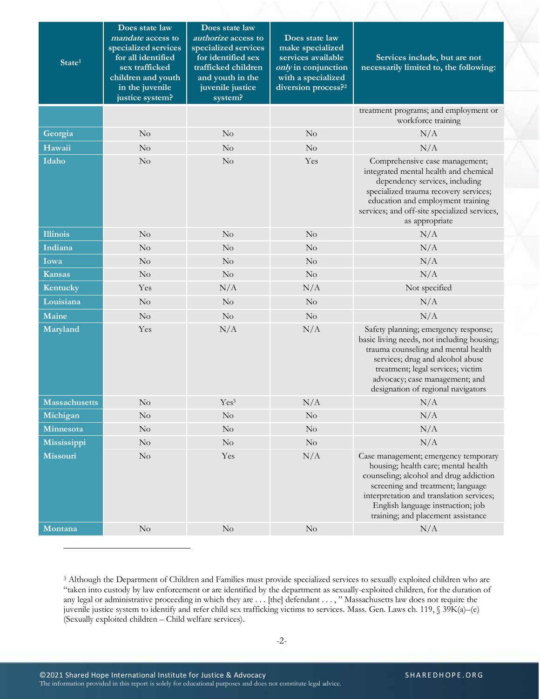| $\overline{\text{State}^1}$ | Does state law<br><i>mandate</i> access to<br>specialized services<br>for all identified<br>sex trafficked<br>children and youth<br>in the juvenile<br>justice system? | Does state law<br>authorize access to<br>specialized services<br>for identified sex<br>trafficked children<br>and youth in the<br>juvenile justice<br>system? | Does state law<br>make specialized<br>services available<br>only in conjunction<br>with a specialized<br>diversion process? <sup>2</sup> | Services include, but are not<br>necessarily limited to, the following:                                                                                                                                                                                                           |
|-----------------------------|------------------------------------------------------------------------------------------------------------------------------------------------------------------------|---------------------------------------------------------------------------------------------------------------------------------------------------------------|------------------------------------------------------------------------------------------------------------------------------------------|-----------------------------------------------------------------------------------------------------------------------------------------------------------------------------------------------------------------------------------------------------------------------------------|
|                             |                                                                                                                                                                        |                                                                                                                                                               |                                                                                                                                          | treatment programs; and employment or<br>workforce training                                                                                                                                                                                                                       |
| Georgia                     | No                                                                                                                                                                     | $\rm No$                                                                                                                                                      | $\rm No$                                                                                                                                 | N/A                                                                                                                                                                                                                                                                               |
| Hawaii                      | No                                                                                                                                                                     | No                                                                                                                                                            | No                                                                                                                                       | N/A                                                                                                                                                                                                                                                                               |
| Idaho                       | No                                                                                                                                                                     | $\rm No$                                                                                                                                                      | Yes                                                                                                                                      | Comprehensive case management;<br>integrated mental health and chemical<br>dependency services, including<br>specialized trauma recovery services;<br>education and employment training<br>services; and off-site specialized services,<br>as appropriate                         |
| <b>Illinois</b>             | No                                                                                                                                                                     | No                                                                                                                                                            | $\rm No$                                                                                                                                 | N/A                                                                                                                                                                                                                                                                               |
| Indiana                     | No                                                                                                                                                                     | No                                                                                                                                                            | $\rm No$                                                                                                                                 | N/A                                                                                                                                                                                                                                                                               |
| Iowa                        | $\rm No$                                                                                                                                                               | $\rm No$                                                                                                                                                      | $\rm No$                                                                                                                                 | N/A                                                                                                                                                                                                                                                                               |
| <b>Kansas</b>               | $\rm No$                                                                                                                                                               | No                                                                                                                                                            | $\rm No$                                                                                                                                 | N/A                                                                                                                                                                                                                                                                               |
| Kentucky                    | Yes                                                                                                                                                                    | N/A                                                                                                                                                           | N/A                                                                                                                                      | Not specified                                                                                                                                                                                                                                                                     |
| Louisiana                   | $\rm No$                                                                                                                                                               | No                                                                                                                                                            | $\rm No$                                                                                                                                 | N/A                                                                                                                                                                                                                                                                               |
| Maine                       | $\rm No$                                                                                                                                                               | $\rm No$                                                                                                                                                      | $\rm No$                                                                                                                                 | N/A                                                                                                                                                                                                                                                                               |
| Maryland                    | Yes                                                                                                                                                                    | N/A                                                                                                                                                           | N/A                                                                                                                                      | Safety planning; emergency response;<br>basic living needs, not including housing;<br>trauma counseling and mental health<br>services; drug and alcohol abuse<br>treatment; legal services; victim<br>advocacy; case management; and<br>designation of regional navigators        |
| <b>Massachusetts</b>        | No                                                                                                                                                                     | Yes <sup>3</sup>                                                                                                                                              | N/A                                                                                                                                      | N/A                                                                                                                                                                                                                                                                               |
| Michigan                    | $\rm No$                                                                                                                                                               | $\rm No$                                                                                                                                                      | $\rm No$                                                                                                                                 | $\rm N/A$                                                                                                                                                                                                                                                                         |
| Minnesota                   | $\rm No$                                                                                                                                                               | No                                                                                                                                                            | $\rm No$                                                                                                                                 | N/A                                                                                                                                                                                                                                                                               |
| Mississippi                 | $\rm No$                                                                                                                                                               | No                                                                                                                                                            | $\rm No$                                                                                                                                 | N/A                                                                                                                                                                                                                                                                               |
| Missouri                    | $\rm No$                                                                                                                                                               | Yes                                                                                                                                                           | N/A                                                                                                                                      | Case management; emergency temporary<br>housing; health care; mental health<br>counseling; alcohol and drug addiction<br>screening and treatment; language<br>interpretation and translation services;<br>English language instruction; job<br>training; and placement assistance |
| Montana                     | $\rm No$                                                                                                                                                               | No                                                                                                                                                            | $\rm No$                                                                                                                                 | N/A                                                                                                                                                                                                                                                                               |

<sup>3</sup> Although the Department of Children and Families must provide specialized services to sexually exploited children who are "taken into custody by law enforcement or are identified by the department as sexually-exploited children, for the duration of any legal or administrative proceeding in which they are . . . [the] defendant . . . , " Massachusetts law does not require the juvenile justice system to identify and refer child sex trafficking victims to services. Mass. Gen. Laws ch. 119, § 39K(a)–(e) (Sexually exploited children – Child welfare services).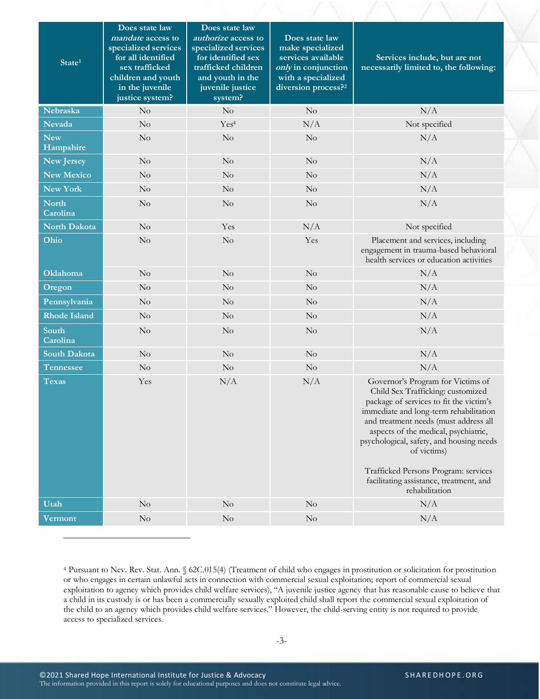| State <sup>1</sup>       | Does state law<br><i>mandate</i> access to<br>specialized services<br>for all identified<br>sex trafficked<br>children and youth<br>in the juvenile<br>justice system? | Does state law<br><i>authorize</i> access to<br>specialized services<br>for identified sex<br>trafficked children<br>and youth in the<br>juvenile justice<br>system? | Does state law<br>make specialized<br>services available<br>only in conjunction<br>with a specialized<br>diversion process? <sup>2</sup> | Services include, but are not<br>necessarily limited to, the following:                                                                                                                                                                                                                                                                                                                                      |
|--------------------------|------------------------------------------------------------------------------------------------------------------------------------------------------------------------|----------------------------------------------------------------------------------------------------------------------------------------------------------------------|------------------------------------------------------------------------------------------------------------------------------------------|--------------------------------------------------------------------------------------------------------------------------------------------------------------------------------------------------------------------------------------------------------------------------------------------------------------------------------------------------------------------------------------------------------------|
| Nebraska                 | No                                                                                                                                                                     | $\rm No$                                                                                                                                                             | $\rm No$                                                                                                                                 | N/A                                                                                                                                                                                                                                                                                                                                                                                                          |
| <b>Nevada</b>            | No                                                                                                                                                                     | Yes <sup>4</sup>                                                                                                                                                     | N/A                                                                                                                                      | Not specified                                                                                                                                                                                                                                                                                                                                                                                                |
| <b>New</b><br>Hampshire  | $\rm No$                                                                                                                                                               | No                                                                                                                                                                   | No                                                                                                                                       | N/A                                                                                                                                                                                                                                                                                                                                                                                                          |
| New Jersey               | No                                                                                                                                                                     | No                                                                                                                                                                   | $\rm No$                                                                                                                                 | N/A                                                                                                                                                                                                                                                                                                                                                                                                          |
| New Mexico               | No                                                                                                                                                                     | No                                                                                                                                                                   | No                                                                                                                                       | N/A                                                                                                                                                                                                                                                                                                                                                                                                          |
| New York                 | $\rm No$                                                                                                                                                               | No                                                                                                                                                                   | No                                                                                                                                       | N/A                                                                                                                                                                                                                                                                                                                                                                                                          |
| <b>North</b><br>Carolina | No                                                                                                                                                                     | No                                                                                                                                                                   | No                                                                                                                                       | N/A                                                                                                                                                                                                                                                                                                                                                                                                          |
| North Dakota             | $\rm No$                                                                                                                                                               | Yes                                                                                                                                                                  | N/A                                                                                                                                      | Not specified                                                                                                                                                                                                                                                                                                                                                                                                |
| Ohio                     | No                                                                                                                                                                     | No                                                                                                                                                                   | Yes                                                                                                                                      | Placement and services, including<br>engagement in trauma-based behavioral<br>health services or education activities                                                                                                                                                                                                                                                                                        |
| <b>Oklahoma</b>          | No                                                                                                                                                                     | No                                                                                                                                                                   | $\rm No$                                                                                                                                 | N/A                                                                                                                                                                                                                                                                                                                                                                                                          |
| Oregon                   | No                                                                                                                                                                     | No                                                                                                                                                                   | $\rm No$                                                                                                                                 | N/A                                                                                                                                                                                                                                                                                                                                                                                                          |
| Pennsylvania             | No                                                                                                                                                                     | No                                                                                                                                                                   | $\rm No$                                                                                                                                 | N/A                                                                                                                                                                                                                                                                                                                                                                                                          |
| <b>Rhode Island</b>      | $\rm No$                                                                                                                                                               | No                                                                                                                                                                   | No                                                                                                                                       | N/A                                                                                                                                                                                                                                                                                                                                                                                                          |
| South<br>Carolina        | $\rm No$                                                                                                                                                               | No                                                                                                                                                                   | $\rm No$                                                                                                                                 | N/A                                                                                                                                                                                                                                                                                                                                                                                                          |
| <b>South Dakota</b>      | No                                                                                                                                                                     | No                                                                                                                                                                   | $\rm No$                                                                                                                                 | N/A                                                                                                                                                                                                                                                                                                                                                                                                          |
| <b>Tennessee</b>         | No                                                                                                                                                                     | $\rm No$                                                                                                                                                             | $\rm No$                                                                                                                                 | N/A                                                                                                                                                                                                                                                                                                                                                                                                          |
| <b>Texas</b>             | Yes                                                                                                                                                                    | N/A                                                                                                                                                                  | N/A                                                                                                                                      | Governor's Program for Victims of<br>Child Sex Trafficking: customized<br>package of services to fit the victim's<br>immediate and long-term rehabilitation<br>and treatment needs (must address all<br>aspects of the medical, psychiatric,<br>psychological, safety, and housing needs<br>of victims)<br>Trafficked Persons Program: services<br>facilitating assistance, treatment, and<br>rehabilitation |
| Utah                     | No                                                                                                                                                                     | N <sub>o</sub>                                                                                                                                                       | $\rm No$                                                                                                                                 | N/A                                                                                                                                                                                                                                                                                                                                                                                                          |
| <b>Vermont</b>           | $\rm No$                                                                                                                                                               | No                                                                                                                                                                   | $\rm No$                                                                                                                                 | N/A                                                                                                                                                                                                                                                                                                                                                                                                          |

<sup>4</sup> Pursuant to Nev. Rev. Stat. Ann. § 62C.015(4) (Treatment of child who engages in prostitution or solicitation for prostitution or who engages in certain unlawful acts in connection with commercial sexual exploitation; report of commercial sexual exploitation to agency which provides child welfare services), "A juvenile justice agency that has reasonable cause to believe that a child in its custody is or has been a commercially sexually exploited child shall report the commercial sexual exploitation of the child to an agency which provides child welfare services." However, the child-serving entity is not required to provide access to specialized services.